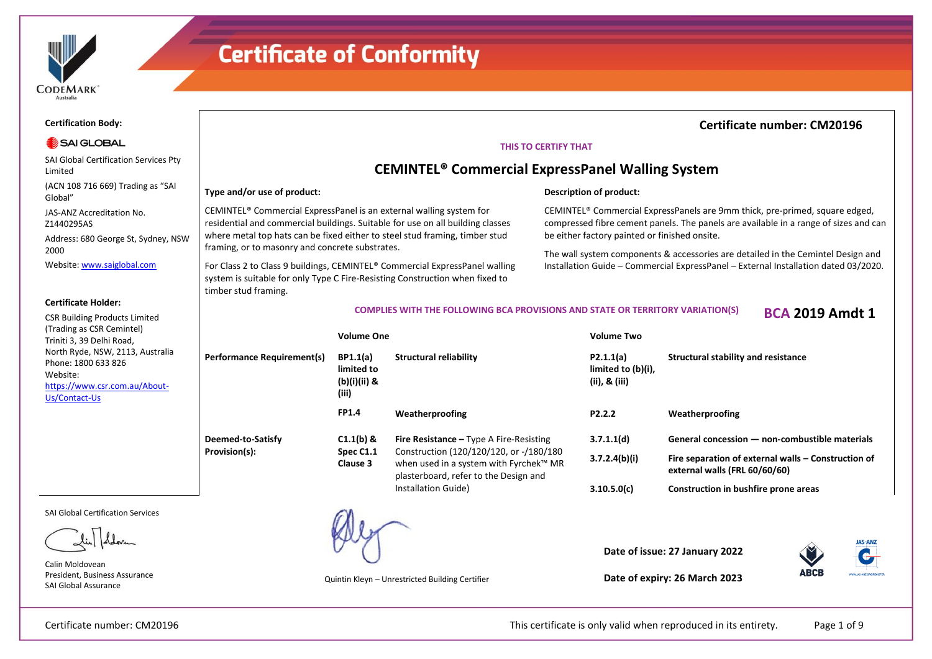

CEMINTEL® Commercial ExpressPanel is an external walling system for residential and commercial buildings. Suitable for use on all building classes where metal top hats can be fixed either to steel stud framing, timber stud

For Class 2 to Class 9 buildings, CEMINTEL® Commercial ExpressPanel walling system is suitable for only Type C Fire-Resisting Construction when fixed to

> **limited to (b)(i)(ii) & (iii) FP1.4**

**C1.1(b) & Spec C1.1 Clause 3**

#### **Certification Body:**

### SAI GLOBAL

SAI Global Certification Services Pty Limited

(ACN 108 716 669) Trading as "SAI Global"

JAS-ANZ Accreditation No. Z1440295AS

Address: 680 George St, Sydney, NSW 2000

Website: www.saiglobal.com

#### **Certificate Holder:**

CSR Building Products Limited (Trading as CSR Cemintel) Triniti 3, 39 Delhi Road, North Ryde, NSW, 2113, Australia Phone: 1800 633 826 Website: https://www.csr.com.au/About-Us/Contact-Us

> **Deemed-to-Satisfy Provision(s):**

**Type and/or use of product:**

timber stud framing.

framing, or to masonry and concrete substrates.

**Performance Requirement(s) BP1.1(a)** 

SAI Global Certification Services

Alon

Calin Moldovean President, Business Assurance SAI Global Assurance

**Date of issue: 27 January 2022**

**THIS TO CERTIFY THAT CEMINTEL® Commercial ExpressPanel Walling System**

**Volume One Volume Two**

**Fire Resistance –** Type A Fire-Resisting Construction (120/120/120, or -/180/180 when used in a system with Fyrchek™ MR plasterboard, refer to the Design and

**Structural reliability**

**Weatherproofing**

Installation Guide)

**Description of product:**

be either factory painted or finished onsite.

**COMPLIES WITH THE FOLLOWING BCA PROVISIONS AND STATE OR TERRITORY VARIATION(S) BCA 2019 Amdt 1**

**P2.1.1(a) limited to (b)(i), (ii), & (iii)**

**P2.2.2**

**3.7.1.1(d) 3.7.2.4(b)(i)**

**3.10.5.0(c)**



**Certificate number: CM20196**

CEMINTEL® Commercial ExpressPanels are 9mm thick, pre-primed, square edged, compressed fibre cement panels. The panels are available in a range of sizes and can

The wall system components & accessories are detailed in the Cemintel Design and Installation Guide – Commercial ExpressPanel – External Installation dated 03/2020.

**Weatherproofing**

**Structural stability and resistance**

**external walls (FRL 60/60/60)**

**Construction in bushfire prone areas**

**General concession — non-combustible materials Fire separation of external walls – Construction of** 

Quintin Kleyn – Unrestricted Building Certifier

**Date of expiry: 26 March 2023**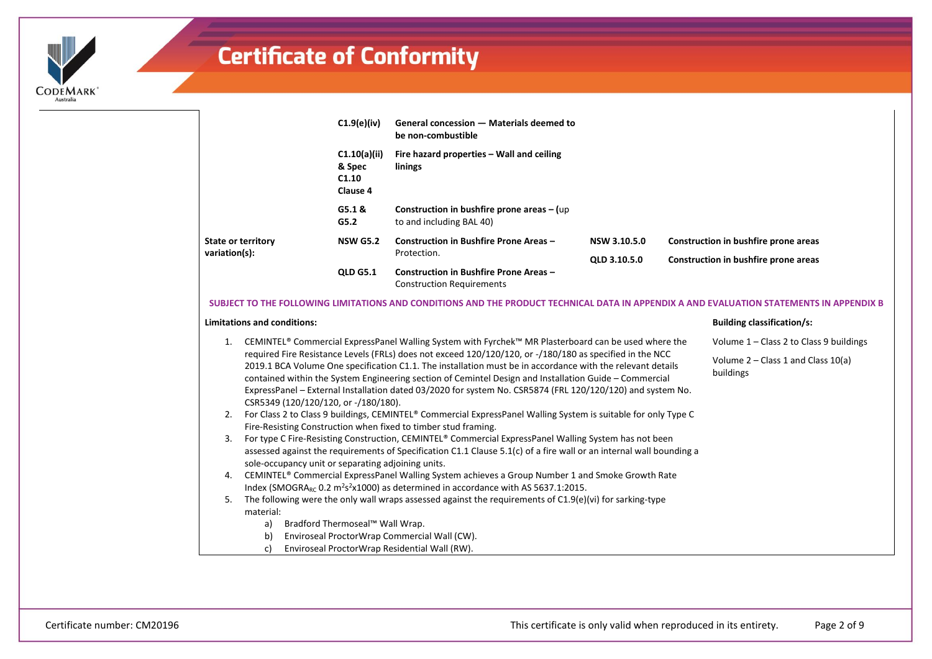

**C1.9(e)(iv)**

|                                            | <b>CI.JUUT</b>                              | defieral concession — ividentials deemed to<br>be non-combustible          |              |                                      |
|--------------------------------------------|---------------------------------------------|----------------------------------------------------------------------------|--------------|--------------------------------------|
|                                            | C1.10(a)(ii)<br>& Spec<br>C1.10<br>Clause 4 | Fire hazard properties – Wall and ceiling<br>linings                       |              |                                      |
|                                            | G5.1 &<br>G5.2                              | Construction in bushfire prone areas $-$ (up<br>to and including BAL 40)   |              |                                      |
| <b>State or territory</b><br>variation(s): | <b>NSW G5.2</b>                             | Construction in Bushfire Prone Areas -<br>Protection.                      | NSW 3.10.5.0 | Construction in bushfire prone areas |
|                                            | <b>OLD G5.1</b>                             | Construction in Bushfire Prone Areas -<br><b>Construction Requirements</b> | OLD 3.10.5.0 | Construction in bushfire prone areas |

#### **SUBJECT TO THE FOLLOWING LIMITATIONS AND CONDITIONS AND THE PRODUCT TECHNICAL DATA IN APPENDIX A AND EVALUATION STATEMENTS IN APPENDIX B**

#### **Limitations and conditions:**

#### **Building classification/s:**

1. CEMINTEL® Commercial ExpressPanel Walling System with Fyrchek™ MR Plasterboard can be used where the required Fire Resistance Levels (FRLs) does not exceed 120/120/120, or -/180/180 as specified in the NCC 2019.1 BCA Volume One specification C1.1. The installation must be in accordance with the relevant details contained within the System Engineering section of Cemintel Design and Installation Guide – Commercial ExpressPanel – External Installation dated 03/2020 for system No. CSR5874 (FRL 120/120/120) and system No. CSR5349 (120/120/120, or -/180/180). Volume 1 – Class 2 to Class 9 buildings Volume 2 – Class 1 and Class 10(a) buildings

**General concession — Materials deemed to** 

- 2. For Class 2 to Class 9 buildings, CEMINTEL® Commercial ExpressPanel Walling System is suitable for only Type C Fire-Resisting Construction when fixed to timber stud framing.
- 3. For type C Fire-Resisting Construction, CEMINTEL® Commercial ExpressPanel Walling System has not been assessed against the requirements of Specification C1.1 Clause 5.1(c) of a fire wall or an internal wall bounding a sole-occupancy unit or separating adjoining units.
- 4. CEMINTEL® Commercial ExpressPanel Walling System achieves a Group Number 1 and Smoke Growth Rate Index (SMOGRA<sub>RC</sub> 0.2 m<sup>2</sup>s<sup>2</sup>x1000) as determined in accordance with AS 5637.1:2015.
- 5. The following were the only wall wraps assessed against the requirements of C1.9(e)(vi) for sarking-type material:
	- a) Bradford Thermoseal™ Wall Wrap.
	- b) Enviroseal ProctorWrap Commercial Wall (CW).
	- c) Enviroseal ProctorWrap Residential Wall (RW).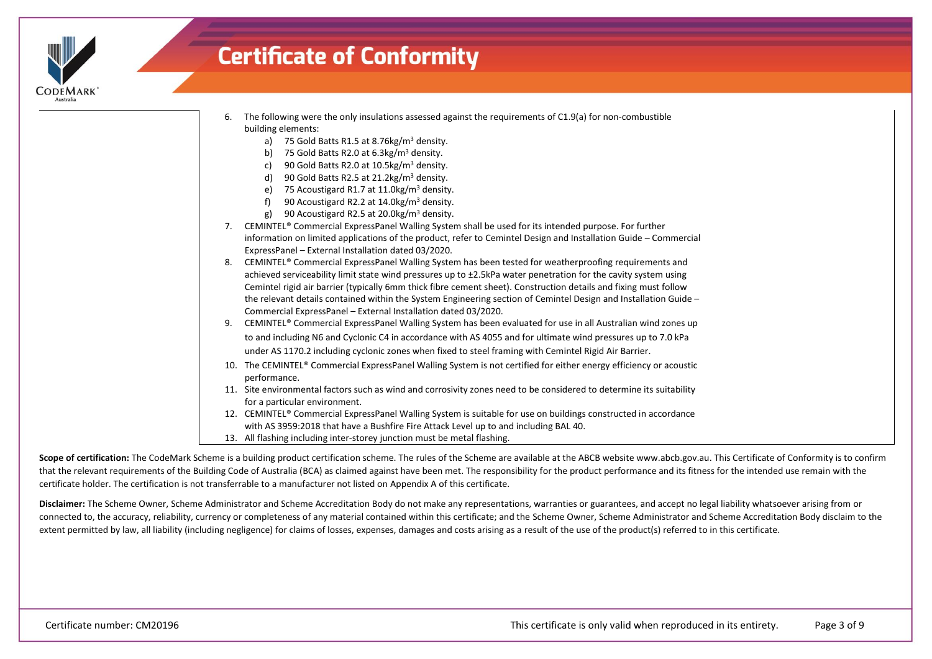

6. The following were the only insulations assessed against the requirements of C1.9(a) for non-combustible building elements:

- a) 75 Gold Batts R1.5 at 8.76 kg/m<sup>3</sup> density.
- b) 75 Gold Batts R2.0 at  $6.3 \text{kg/m}^3$  density.
- c) 90 Gold Batts R2.0 at 10.5kg/m<sup>3</sup> density.
- d) 90 Gold Batts R2.5 at  $21.2$ kg/m<sup>3</sup> density.
- e) 75 Acoustigard R1.7 at 11.0kg/m<sup>3</sup> density.
- f) 90 Acoustigard R2.2 at 14.0kg/m<sup>3</sup> density.
- g) 90 Acoustigard R2.5 at 20.0kg/m<sup>3</sup> density.
- 7. CEMINTEL® Commercial ExpressPanel Walling System shall be used for its intended purpose. For further information on limited applications of the product, refer to Cemintel Design and Installation Guide – Commercial ExpressPanel – External Installation dated 03/2020.
- 8. CEMINTEL® Commercial ExpressPanel Walling System has been tested for weatherproofing requirements and achieved serviceability limit state wind pressures up to ±2.5kPa water penetration for the cavity system using Cemintel rigid air barrier (typically 6mm thick fibre cement sheet). Construction details and fixing must follow the relevant details contained within the System Engineering section of Cemintel Design and Installation Guide – Commercial ExpressPanel – External Installation dated 03/2020.
- 9. CEMINTEL® Commercial ExpressPanel Walling System has been evaluated for use in all Australian wind zones up to and including N6 and Cyclonic C4 in accordance with AS 4055 and for ultimate wind pressures up to 7.0 kPa under AS 1170.2 including cyclonic zones when fixed to steel framing with Cemintel Rigid Air Barrier.
- 10. The CEMINTEL® Commercial ExpressPanel Walling System is not certified for either energy efficiency or acoustic performance.
- 11. Site environmental factors such as wind and corrosivity zones need to be considered to determine its suitability for a particular environment.
- 12. CEMINTEL® Commercial ExpressPanel Walling System is suitable for use on buildings constructed in accordance with AS 3959:2018 that have a Bushfire Fire Attack Level up to and including BAL 40.
- 13. All flashing including inter-storey junction must be metal flashing.

Scope of certification: The CodeMark Scheme is a building product certification scheme. The rules of the Scheme are available at the ABCB website www.abcb.gov.au. This Certificate of Conformity is to confirm that the relevant requirements of the Building Code of Australia (BCA) as claimed against have been met. The responsibility for the product performance and its fitness for the intended use remain with the certificate holder. The certification is not transferrable to a manufacturer not listed on Appendix A of this certificate.

**Disclaimer:** The Scheme Owner, Scheme Administrator and Scheme Accreditation Body do not make any representations, warranties or guarantees, and accept no legal liability whatsoever arising from or connected to, the accuracy, reliability, currency or completeness of any material contained within this certificate; and the Scheme Owner, Scheme Administrator and Scheme Accreditation Body disclaim to the extent permitted by law, all liability (including negligence) for claims of losses, expenses, damages and costs arising as a result of the use of the product(s) referred to in this certificate.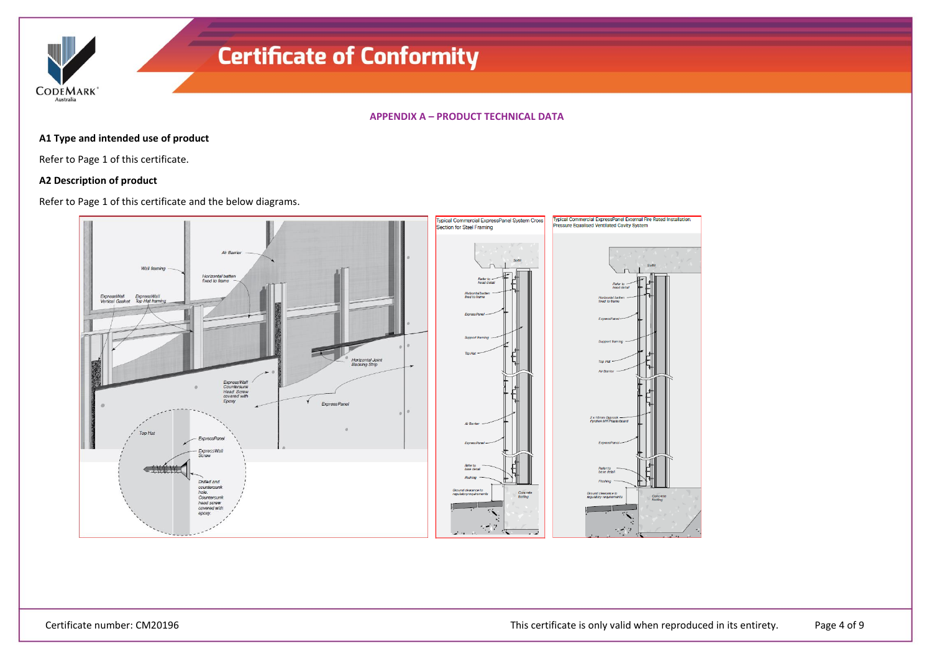**CODEMARK** Australia

#### **APPENDIX A – PRODUCT TECHNICAL DATA**

### **A1 Type and intended use of product**

Refer to Page 1 of this certificate.

#### **A2 Description of product**

Refer to Page 1 of this certificate and the below diagrams.

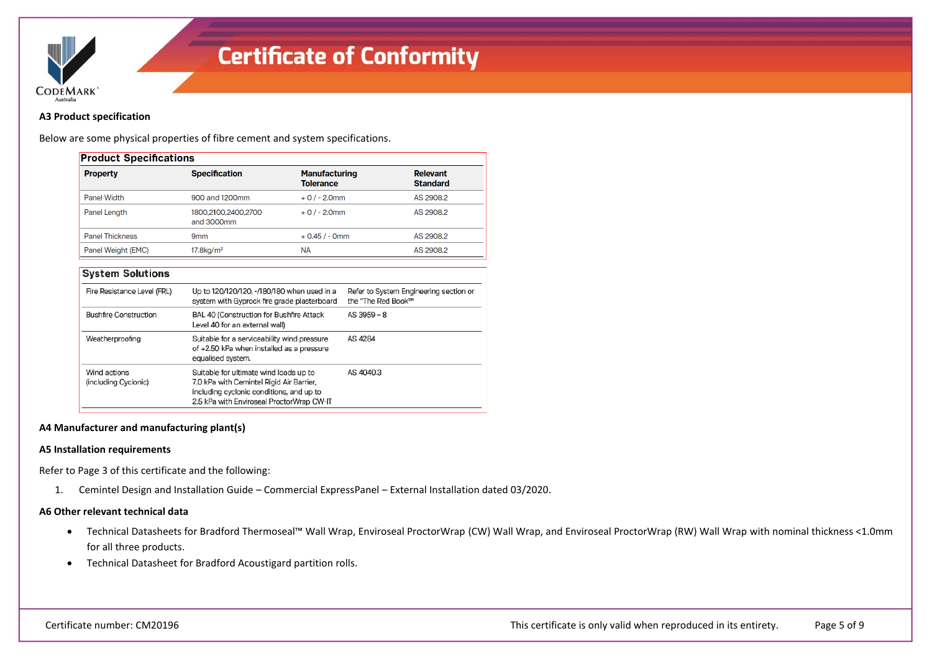

#### **A3 Product specification**

Below are some physical properties of fibre cement and system specifications.

| <b>Product Specifications</b> |                                   |                                          |                                    |  |
|-------------------------------|-----------------------------------|------------------------------------------|------------------------------------|--|
| <b>Property</b>               | <b>Specification</b>              | <b>Manufacturing</b><br><b>Tolerance</b> | <b>Relevant</b><br><b>Standard</b> |  |
| Panel Width                   | 900 and 1200mm                    | $+0/-2.0$ mm                             | AS 2908.2                          |  |
| Panel Length                  | 1800.2100.2400.2700<br>and 3000mm | $+0/-2.0$ mm                             | AS 2908.2                          |  |
| <b>Panel Thickness</b>        | 9 <sub>mm</sub>                   | $+0.45/ - 0mm$                           | AS 2908.2                          |  |
| Panel Weight (EMC)            | $17.8$ kg/m <sup>2</sup>          | ΝA                                       | AS 2908.2                          |  |

| <b>System Solutions</b>              |                                                                                                                                                                             |                                                              |
|--------------------------------------|-----------------------------------------------------------------------------------------------------------------------------------------------------------------------------|--------------------------------------------------------------|
| Fire Resistance Level (FRL)          | Up to 120/120/120, -/180/180 when used in a<br>system with Gyprock fire grade plasterboard                                                                                  | Refer to System Engineering section or<br>the "The Red Book™ |
| <b>Bushfire Construction</b>         | BAL 40 (Construction for Bushfire Attack<br>Level 40 for an external wall)                                                                                                  | AS 3959 - 8                                                  |
| Weatherproofing                      | Suitable for a serviceability wind pressure<br>of +2.50 kPa when installed as a pressure<br>equalised system.                                                               | AS 4284                                                      |
| Wind actions<br>(including Cyclonic) | Suitable for ultimate wind loads up to<br>7.0 kPa with Cemintel Rigid Air Barrier,<br>including cyclonic conditions, and up to<br>2.5 kPa with Enviroseal ProctorWrap CW-IT | AS 4040.3                                                    |

#### **A4 Manufacturer and manufacturing plant(s)**

#### **A5 Installation requirements**

Refer to Page 3 of this certificate and the following:

1. Cemintel Design and Installation Guide – Commercial ExpressPanel – External Installation dated 03/2020.

#### **A6 Other relevant technical data**

- Technical Datasheets for Bradford Thermoseal™ Wall Wrap, Enviroseal ProctorWrap (CW) Wall Wrap, and Enviroseal ProctorWrap (RW) Wall Wrap with nominal thickness <1.0mm for all three products.
- Technical Datasheet for Bradford Acoustigard partition rolls.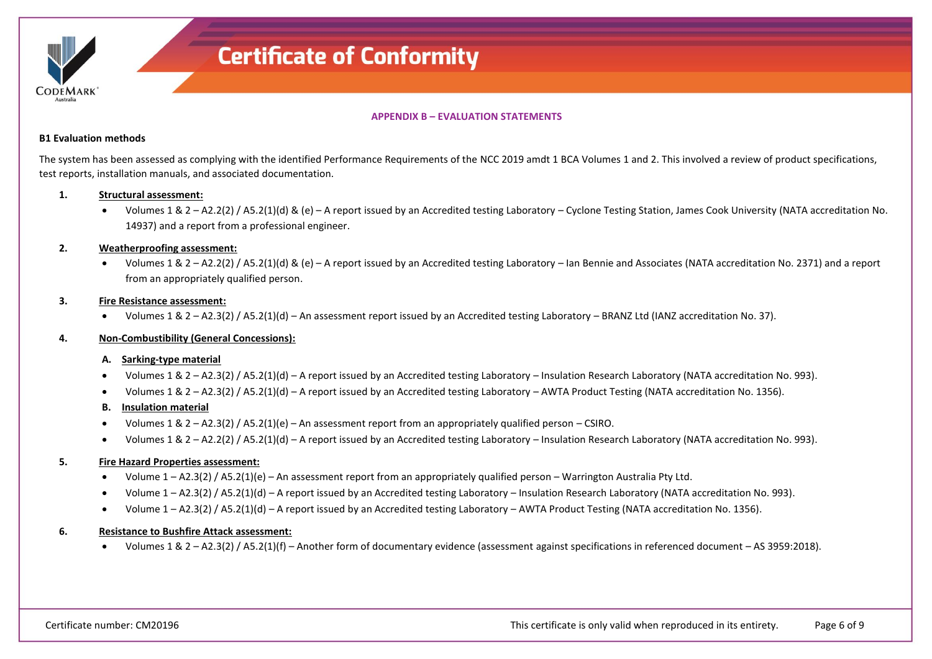

**APPENDIX B – EVALUATION STATEMENTS**

#### **B1 Evaluation methods**

The system has been assessed as complying with the identified Performance Requirements of the NCC 2019 amdt 1 BCA Volumes 1 and 2. This involved a review of product specifications, test reports, installation manuals, and associated documentation.

#### **1. Structural assessment:**

• Volumes 1 & 2 – A2.2(2) / A5.2(1)(d) & (e) – A report issued by an Accredited testing Laboratory – Cyclone Testing Station, James Cook University (NATA accreditation No. 14937) and a report from a professional engineer.

#### **2. Weatherproofing assessment:**

• Volumes 1 & 2 – A2.2(2) / A5.2(1)(d) & (e) – A report issued by an Accredited testing Laboratory – Ian Bennie and Associates (NATA accreditation No. 2371) and a report from an appropriately qualified person.

#### **3. Fire Resistance assessment:**

• Volumes 1 & 2 – A2.3(2) / A5.2(1)(d) – An assessment report issued by an Accredited testing Laboratory – BRANZ Ltd (IANZ accreditation No. 37).

#### **4. Non-Combustibility (General Concessions):**

#### **A. Sarking-type material**

- Volumes 1 & 2 A2.3(2) / A5.2(1)(d) A report issued by an Accredited testing Laboratory Insulation Research Laboratory (NATA accreditation No. 993).
- Volumes 1 & 2 A2.3(2) / A5.2(1)(d) A report issued by an Accredited testing Laboratory AWTA Product Testing (NATA accreditation No. 1356).

#### **B. Insulation material**

- Volumes 1 & 2 A2.3(2) / A5.2(1)(e) An assessment report from an appropriately qualified person CSIRO.
- Volumes 1 & 2 A2.2(2) / A5.2(1)(d) A report issued by an Accredited testing Laboratory Insulation Research Laboratory (NATA accreditation No. 993).

#### **5. Fire Hazard Properties assessment:**

- Volume 1 A2.3(2) / A5.2(1)(e) An assessment report from an appropriately qualified person Warrington Australia Pty Ltd.
- Volume 1 A2.3(2) / A5.2(1)(d) A report issued by an Accredited testing Laboratory Insulation Research Laboratory (NATA accreditation No. 993).
- Volume 1 A2.3(2) / A5.2(1)(d) A report issued by an Accredited testing Laboratory AWTA Product Testing (NATA accreditation No. 1356).

#### **6. Resistance to Bushfire Attack assessment:**

• Volumes 1 & 2 – A2.3(2) / A5.2(1)(f) – Another form of documentary evidence (assessment against specifications in referenced document – AS 3959:2018).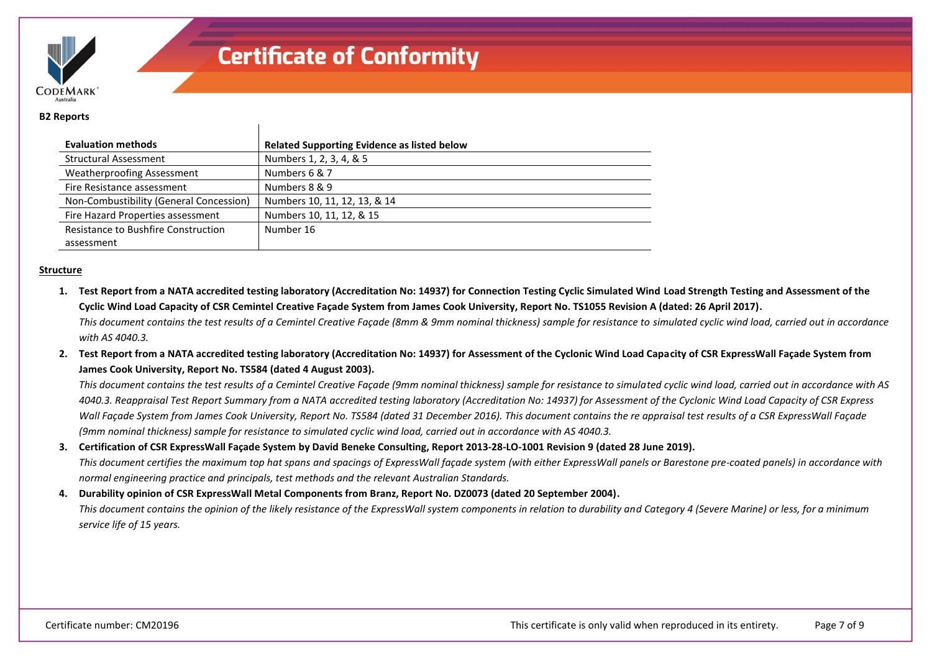

#### **B2 Reports**

| <b>Evaluation methods</b>               | <b>Related Supporting Evidence as listed below</b> |
|-----------------------------------------|----------------------------------------------------|
| <b>Structural Assessment</b>            | Numbers 1, 2, 3, 4, & 5                            |
| <b>Weatherproofing Assessment</b>       | Numbers 6 & 7                                      |
| Fire Resistance assessment              | Numbers 8 & 9                                      |
| Non-Combustibility (General Concession) | Numbers 10, 11, 12, 13, & 14                       |
| Fire Hazard Properties assessment       | Numbers 10, 11, 12, & 15                           |
| Resistance to Bushfire Construction     | Number 16                                          |
| assessment                              |                                                    |

#### **Structure**

**1. Test Report from a NATA accredited testing laboratory (Accreditation No: 14937) for Connection Testing Cyclic Simulated Wind Load Strength Testing and Assessment of the Cyclic Wind Load Capacity of CSR Cemintel Creative Façade System from James Cook University, Report No. TS1055 Revision A (dated: 26 April 2017).**

*This document contains the test results of a Cemintel Creative Façade (8mm & 9mm nominal thickness) sample for resistance to simulated cyclic wind load, carried out in accordance with AS 4040.3.*

**2. Test Report from a NATA accredited testing laboratory (Accreditation No: 14937) for Assessment of the Cyclonic Wind Load Capacity of CSR ExpressWall Façade System from James Cook University, Report No. TS584 (dated 4 August 2003).**

*This document contains the test results of a Cemintel Creative Façade (9mm nominal thickness) sample for resistance to simulated cyclic wind load, carried out in accordance with AS 4040.3. Reappraisal Test Report Summary from a NATA accredited testing laboratory (Accreditation No: 14937) for Assessment of the Cyclonic Wind Load Capacity of CSR Express Wall Façade System from James Cook University, Report No. TS584 (dated 31 December 2016). This document contains the re appraisal test results of a CSR ExpressWall Façade (9mm nominal thickness) sample for resistance to simulated cyclic wind load, carried out in accordance with AS 4040.3.*

### **3. Certification of CSR ExpressWall Façade System by David Beneke Consulting, Report 2013-28-LO-1001 Revision 9 (dated 28 June 2019).**

*This document certifies the maximum top hat spans and spacings of ExpressWall façade system (with either ExpressWall panels or Barestone pre-coated panels) in accordance with normal engineering practice and principals, test methods and the relevant Australian Standards.*

#### **4. Durability opinion of CSR ExpressWall Metal Components from Branz, Report No. DZ0073 (dated 20 September 2004).**

*This document contains the opinion of the likely resistance of the ExpressWall system components in relation to durability and Category 4 (Severe Marine) or less, for a minimum service life of 15 years.*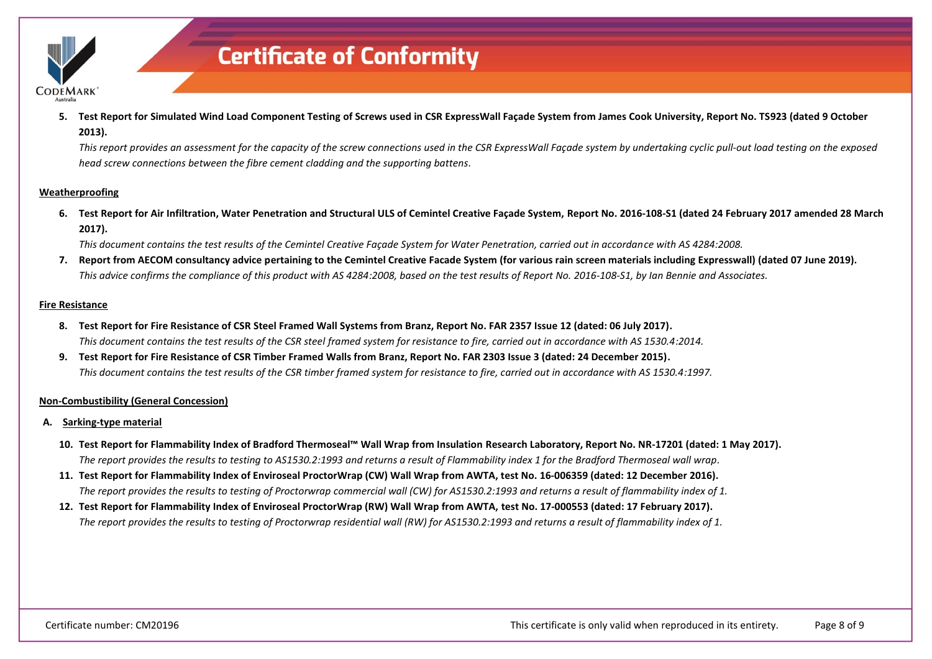

**5. Test Report for Simulated Wind Load Component Testing of Screws used in CSR ExpressWall Façade System from James Cook University, Report No. TS923 (dated 9 October 2013).**

*This report provides an assessment for the capacity of the screw connections used in the CSR ExpressWall Façade system by undertaking cyclic pull-out load testing on the exposed head screw connections between the fibre cement cladding and the supporting battens.*

#### **Weatherproofing**

**6. Test Report for Air Infiltration, Water Penetration and Structural ULS of Cemintel Creative Façade System, Report No. 2016-108-S1 (dated 24 February 2017 amended 28 March 2017).**

*This document contains the test results of the Cemintel Creative Façade System for Water Penetration, carried out in accordance with AS 4284:2008.*

**7. Report from AECOM consultancy advice pertaining to the Cemintel Creative Facade System (for various rain screen materials including Expresswall) (dated 07 June 2019).** *This advice confirms the compliance of this product with AS 4284:2008, based on the test results of Report No. 2016-108-S1, by Ian Bennie and Associates.*

#### **Fire Resistance**

- **8. Test Report for Fire Resistance of CSR Steel Framed Wall Systems from Branz, Report No. FAR 2357 Issue 12 (dated: 06 July 2017).** *This document contains the test results of the CSR steel framed system for resistance to fire, carried out in accordance with AS 1530.4:2014.*
- **9. Test Report for Fire Resistance of CSR Timber Framed Walls from Branz, Report No. FAR 2303 Issue 3 (dated: 24 December 2015).** *This document contains the test results of the CSR timber framed system for resistance to fire, carried out in accordance with AS 1530.4:1997.*

#### **Non-Combustibility (General Concession)**

- **A. Sarking-type material**
	- **10. Test Report for Flammability Index of Bradford Thermoseal™ Wall Wrap from Insulation Research Laboratory, Report No. NR-17201 (dated: 1 May 2017).** *The report provides the results to testing to AS1530.2:1993 and returns a result of Flammability index 1 for the Bradford Thermoseal wall wrap.*
	- **11. Test Report for Flammability Index of Enviroseal ProctorWrap (CW) Wall Wrap from AWTA, test No. 16-006359 (dated: 12 December 2016).** *The report provides the results to testing of Proctorwrap commercial wall (CW) for AS1530.2:1993 and returns a result of flammability index of 1.*
	- **12. Test Report for Flammability Index of Enviroseal ProctorWrap (RW) Wall Wrap from AWTA, test No. 17-000553 (dated: 17 February 2017).** *The report provides the results to testing of Proctorwrap residential wall (RW) for AS1530.2:1993 and returns a result of flammability index of 1.*